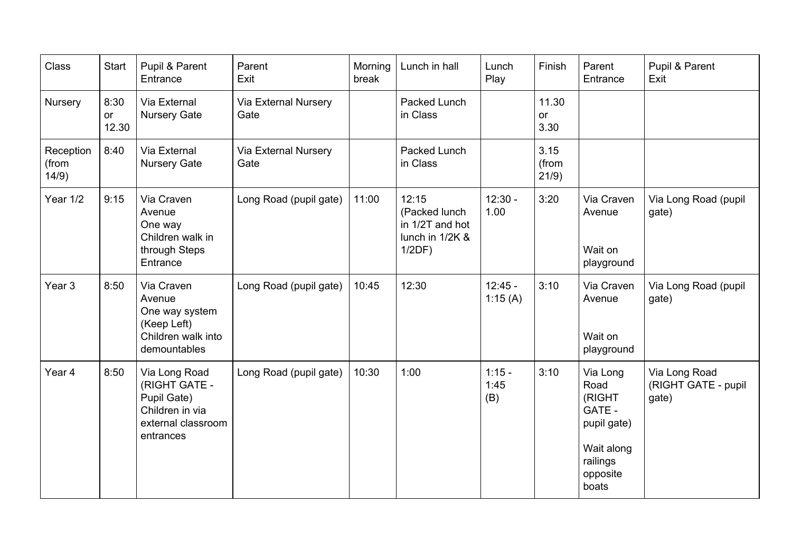| Class                       | Start               | Pupil & Parent<br>Entrance                                                                          | Parent<br>Exit                      | Morning<br>break | Lunch in hall                                                             | Lunch<br>Play           | Finish                 | Parent<br>Entrance                                                                                 | Pupil & Parent<br>Exit                        |
|-----------------------------|---------------------|-----------------------------------------------------------------------------------------------------|-------------------------------------|------------------|---------------------------------------------------------------------------|-------------------------|------------------------|----------------------------------------------------------------------------------------------------|-----------------------------------------------|
| Nursery                     | 8:30<br>or<br>12.30 | Via External<br><b>Nursery Gate</b>                                                                 | Via External Nursery<br>Gate        |                  | Packed Lunch<br>in Class                                                  |                         | 11.30<br>or<br>3.30    |                                                                                                    |                                               |
| Reception<br>(from<br>14/9) | 8:40                | Via External<br><b>Nursery Gate</b>                                                                 | <b>Via External Nursery</b><br>Gate |                  | Packed Lunch<br>in Class                                                  |                         | 3.15<br>(from<br>21/9) |                                                                                                    |                                               |
| Year 1/2                    | 9:15                | Via Craven<br>Avenue<br>One way<br>Children walk in<br>through Steps<br>Entrance                    | Long Road (pupil gate)              | 11:00            | 12:15<br>(Packed lunch<br>in 1/2T and hot<br>lunch in 1/2K &<br>$1/2DF$ ) | $12:30 -$<br>1.00       | 3:20                   | Via Craven<br>Avenue<br>Wait on<br>playground                                                      | Via Long Road (pupil<br>gate)                 |
| Year <sub>3</sub>           | 8:50                | Via Craven<br>Avenue<br>One way system<br>(Keep Left)<br>Children walk into<br>demountables         | Long Road (pupil gate)              | 10:45            | 12:30                                                                     | $12:45 -$<br>1:15 $(A)$ | 3:10                   | Via Craven<br>Avenue<br>Wait on<br>playground                                                      | Via Long Road (pupil<br>gate)                 |
| Year 4                      | 8:50                | Via Long Road<br>(RIGHT GATE -<br>Pupil Gate)<br>Children in via<br>external classroom<br>entrances | Long Road (pupil gate)              | 10:30            | 1:00                                                                      | $1:15 -$<br>1:45<br>(B) | 3:10                   | Via Long<br>Road<br>(RIGHT<br>GATE -<br>pupil gate)<br>Wait along<br>railings<br>opposite<br>boats | Via Long Road<br>(RIGHT GATE - pupil<br>gate) |